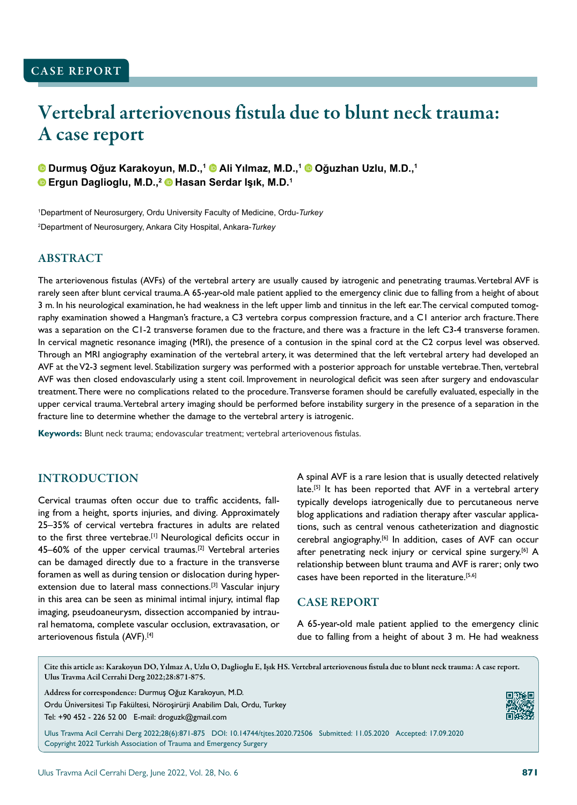# Vertebral arteriovenous fistula due to blunt neck trauma: A case report

**Durmuş Oğuz Karakoyun, M.D.,<sup>1</sup> Ali Yılmaz, M.D.,<sup>1</sup> Oğuzhan Uzlu, M.D.,<sup>1</sup> Ergun Daglioglu, M.D.,<sup>2</sup> Hasan Serdar Işık, M.D.<sup>1</sup>**

1 Department of Neurosurgery, Ordu University Faculty of Medicine, Ordu-*Turkey* 2 Department of Neurosurgery, Ankara City Hospital, Ankara-*Turkey*

# ABSTRACT

The arteriovenous fistulas (AVFs) of the vertebral artery are usually caused by iatrogenic and penetrating traumas. Vertebral AVF is rarely seen after blunt cervical trauma. A 65-year-old male patient applied to the emergency clinic due to falling from a height of about 3 m. In his neurological examination, he had weakness in the left upper limb and tinnitus in the left ear. The cervical computed tomography examination showed a Hangman's fracture, a C3 vertebra corpus compression fracture, and a C1 anterior arch fracture. There was a separation on the C1-2 transverse foramen due to the fracture, and there was a fracture in the left C3-4 transverse foramen. In cervical magnetic resonance imaging (MRI), the presence of a contusion in the spinal cord at the C2 corpus level was observed. Through an MRI angiography examination of the vertebral artery, it was determined that the left vertebral artery had developed an AVF at the V2-3 segment level. Stabilization surgery was performed with a posterior approach for unstable vertebrae. Then, vertebral AVF was then closed endovascularly using a stent coil. Improvement in neurological deficit was seen after surgery and endovascular treatment. There were no complications related to the procedure. Transverse foramen should be carefully evaluated, especially in the upper cervical trauma. Vertebral artery imaging should be performed before instability surgery in the presence of a separation in the fracture line to determine whether the damage to the vertebral artery is iatrogenic.

**Keywords:** Blunt neck trauma; endovascular treatment; vertebral arteriovenous fistulas.

# INTRODUCTION

Cervical traumas often occur due to traffic accidents, falling from a height, sports injuries, and diving. Approximately 25–35% of cervical vertebra fractures in adults are related to the first three vertebrae.<sup>[1]</sup> Neurological deficits occur in 45–60% of the upper cervical traumas.[2] Vertebral arteries can be damaged directly due to a fracture in the transverse foramen as well as during tension or dislocation during hyperextension due to lateral mass connections.<sup>[3]</sup> Vascular injury in this area can be seen as minimal intimal injury, intimal flap imaging, pseudoaneurysm, dissection accompanied by intraural hematoma, complete vascular occlusion, extravasation, or arteriovenous fistula (AVF).[4]

A spinal AVF is a rare lesion that is usually detected relatively late.<sup>[5]</sup> It has been reported that AVF in a vertebral artery typically develops iatrogenically due to percutaneous nerve blog applications and radiation therapy after vascular applications, such as central venous catheterization and diagnostic cerebral angiography.[6] In addition, cases of AVF can occur after penetrating neck injury or cervical spine surgery.<sup>[6]</sup> A relationship between blunt trauma and AVF is rarer; only two cases have been reported in the literature.[5,6]

## CASE REPORT

A 65-year-old male patient applied to the emergency clinic due to falling from a height of about 3 m. He had weakness

Cite this article as: Karakoyun DO, Yılmaz A, Uzlu O, Daglioglu E, Işık HS. Vertebral arteriovenous fistula due to blunt neck trauma: A case report. Ulus Travma Acil Cerrahi Derg 2022;28:871-875.

Address for correspondence: Durmuş Oğuz Karakoyun, M.D. Ordu Üniversitesi Tıp Fakültesi, Nöroşirürji Anabilim Dalı, Ordu, Turkey Tel: +90 452 - 226 52 00 E-mail: droguzk@gmail.com



Ulus Travma Acil Cerrahi Derg 2022;28(6):871-875 DOI: 10.14744/tjtes.2020.72506 Submitted: 11.05.2020 Accepted: 17.09.2020 Copyright 2022 Turkish Association of Trauma and Emergency Surgery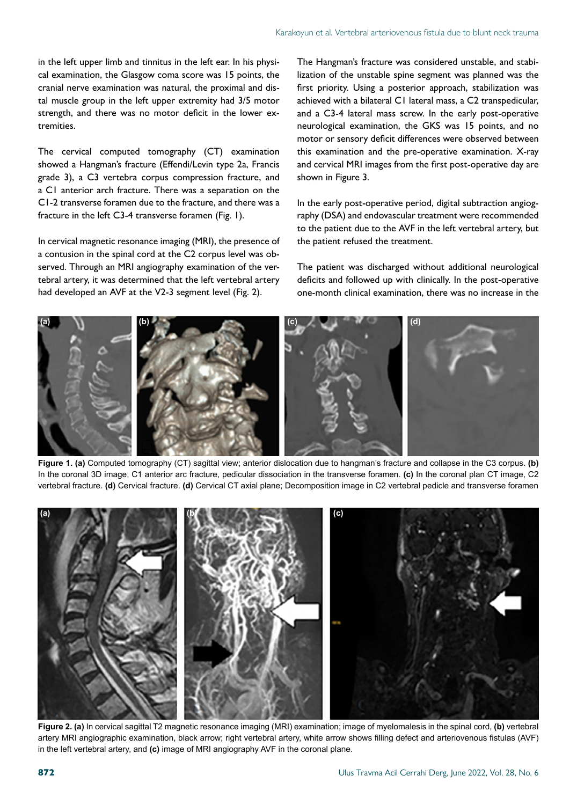in the left upper limb and tinnitus in the left ear. In his physical examination, the Glasgow coma score was 15 points, the cranial nerve examination was natural, the proximal and distal muscle group in the left upper extremity had 3/5 motor strength, and there was no motor deficit in the lower extremities.

The cervical computed tomography (CT) examination showed a Hangman's fracture (Effendi/Levin type 2a, Francis grade 3), a C3 vertebra corpus compression fracture, and a C1 anterior arch fracture. There was a separation on the C1-2 transverse foramen due to the fracture, and there was a fracture in the left C3-4 transverse foramen (Fig. 1).

In cervical magnetic resonance imaging (MRI), the presence of a contusion in the spinal cord at the C2 corpus level was observed. Through an MRI angiography examination of the vertebral artery, it was determined that the left vertebral artery had developed an AVF at the V2-3 segment level (Fig. 2).

The Hangman's fracture was considered unstable, and stabilization of the unstable spine segment was planned was the first priority. Using a posterior approach, stabilization was achieved with a bilateral C1 lateral mass, a C2 transpedicular, and a C3-4 lateral mass screw. In the early post-operative neurological examination, the GKS was 15 points, and no motor or sensory deficit differences were observed between this examination and the pre-operative examination. X-ray and cervical MRI images from the first post-operative day are shown in Figure 3.

In the early post-operative period, digital subtraction angiography (DSA) and endovascular treatment were recommended to the patient due to the AVF in the left vertebral artery, but the patient refused the treatment.

The patient was discharged without additional neurological deficits and followed up with clinically. In the post-operative one-month clinical examination, there was no increase in the



**Figure 1. (a)** Computed tomography (CT) sagittal view; anterior dislocation due to hangman's fracture and collapse in the C3 corpus. **(b)** In the coronal 3D image, C1 anterior arc fracture, pedicular dissociation in the transverse foramen. **(c)** In the coronal plan CT image, C2 vertebral fracture. **(d)** Cervical fracture. **(d)** Cervical CT axial plane; Decomposition image in C2 vertebral pedicle and transverse foramen



**Figure 2. (a)** In cervical sagittal T2 magnetic resonance imaging (MRI) examination; image of myelomalesis in the spinal cord, **(b)** vertebral artery MRI angiographic examination, black arrow; right vertebral artery, white arrow shows filling defect and arteriovenous fistulas (AVF) in the left vertebral artery, and **(c)** image of MRI angiography AVF in the coronal plane.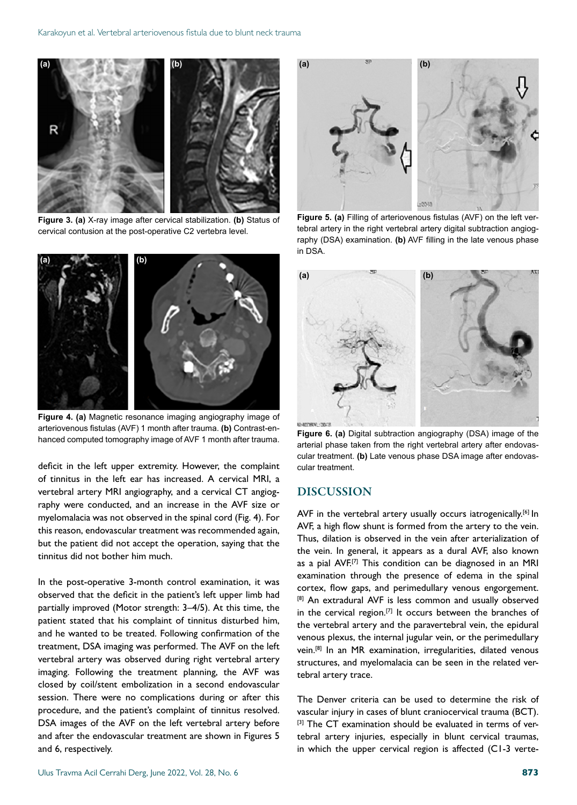

**Figure 3. (a)** X-ray image after cervical stabilization. **(b)** Status of cervical contusion at the post-operative C2 vertebra level.



**Figure 4. (a)** Magnetic resonance imaging angiography image of arteriovenous fistulas (AVF) 1 month after trauma. **(b)** Contrast-enhanced computed tomography image of AVF 1 month after trauma.

deficit in the left upper extremity. However, the complaint of tinnitus in the left ear has increased. A cervical MRI, a vertebral artery MRI angiography, and a cervical CT angiography were conducted, and an increase in the AVF size or myelomalacia was not observed in the spinal cord (Fig. 4). For this reason, endovascular treatment was recommended again, but the patient did not accept the operation, saying that the tinnitus did not bother him much.

In the post-operative 3-month control examination, it was observed that the deficit in the patient's left upper limb had partially improved (Motor strength: 3–4/5). At this time, the patient stated that his complaint of tinnitus disturbed him, and he wanted to be treated. Following confirmation of the treatment, DSA imaging was performed. The AVF on the left vertebral artery was observed during right vertebral artery imaging. Following the treatment planning, the AVF was closed by coil/stent embolization in a second endovascular session. There were no complications during or after this procedure, and the patient's complaint of tinnitus resolved. DSA images of the AVF on the left vertebral artery before and after the endovascular treatment are shown in Figures 5 and 6, respectively.



**Figure 5. (a)** Filling of arteriovenous fistulas (AVF) on the left vertebral artery in the right vertebral artery digital subtraction angiography (DSA) examination. **(b)** AVF filling in the late venous phase in DSA.



**Figure 6. (a)** Digital subtraction angiography (DSA) image of the arterial phase taken from the right vertebral artery after endovascular treatment. **(b)** Late venous phase DSA image after endovascular treatment.

## DISCUSSION

AVF in the vertebral artery usually occurs iatrogenically.<sup>[6]</sup> In AVF, a high flow shunt is formed from the artery to the vein. Thus, dilation is observed in the vein after arterialization of the vein. In general, it appears as a dural AVF, also known as a pial AVF.<sup>[7]</sup> This condition can be diagnosed in an MRI examination through the presence of edema in the spinal cortex, flow gaps, and perimedullary venous engorgement. [8] An extradural AVF is less common and usually observed in the cervical region.<sup>[7]</sup> It occurs between the branches of the vertebral artery and the paravertebral vein, the epidural venous plexus, the internal jugular vein, or the perimedullary vein.[8] In an MR examination, irregularities, dilated venous structures, and myelomalacia can be seen in the related vertebral artery trace.

The Denver criteria can be used to determine the risk of vascular injury in cases of blunt craniocervical trauma (BCT). [3] The CT examination should be evaluated in terms of vertebral artery injuries, especially in blunt cervical traumas, in which the upper cervical region is affected (C1-3 verte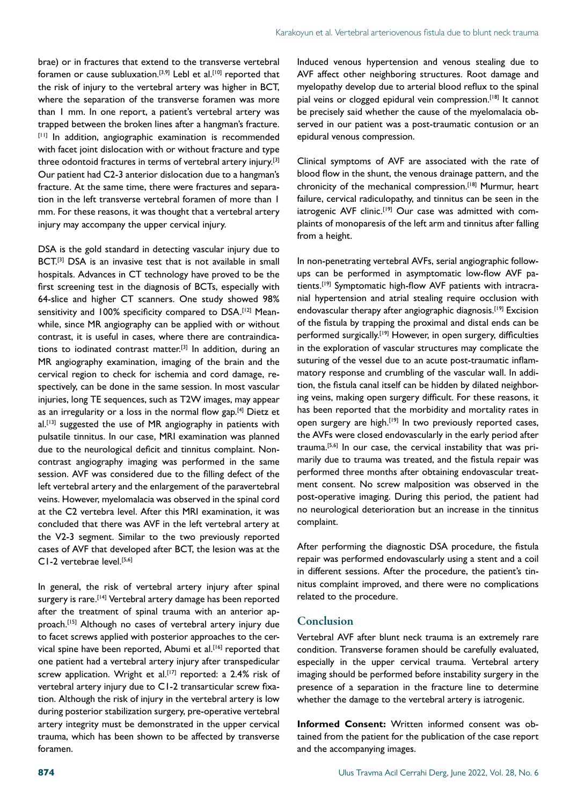brae) or in fractures that extend to the transverse vertebral foramen or cause subluxation.<sup>[3,9]</sup> Lebl et al.<sup>[10]</sup> reported that the risk of injury to the vertebral artery was higher in BCT, where the separation of the transverse foramen was more than 1 mm. In one report, a patient's vertebral artery was trapped between the broken lines after a hangman's fracture. [11] In addition, angiographic examination is recommended with facet joint dislocation with or without fracture and type three odontoid fractures in terms of vertebral artery injury.<sup>[3]</sup> Our patient had C2-3 anterior dislocation due to a hangman's fracture. At the same time, there were fractures and separation in the left transverse vertebral foramen of more than 1 mm. For these reasons, it was thought that a vertebral artery injury may accompany the upper cervical injury.

DSA is the gold standard in detecting vascular injury due to BCT.<sup>[3]</sup> DSA is an invasive test that is not available in small hospitals. Advances in CT technology have proved to be the first screening test in the diagnosis of BCTs, especially with 64-slice and higher CT scanners. One study showed 98% sensitivity and 100% specificity compared to DSA.<sup>[12]</sup> Meanwhile, since MR angiography can be applied with or without contrast, it is useful in cases, where there are contraindications to iodinated contrast matter.[3] In addition, during an MR angiography examination, imaging of the brain and the cervical region to check for ischemia and cord damage, respectively, can be done in the same session. In most vascular injuries, long TE sequences, such as T2W images, may appear as an irregularity or a loss in the normal flow gap.<sup>[4]</sup> Dietz et al.<sup>[13]</sup> suggested the use of MR angiography in patients with pulsatile tinnitus. In our case, MRI examination was planned due to the neurological deficit and tinnitus complaint. Noncontrast angiography imaging was performed in the same session. AVF was considered due to the filling defect of the left vertebral artery and the enlargement of the paravertebral veins. However, myelomalacia was observed in the spinal cord at the C2 vertebra level. After this MRI examination, it was concluded that there was AVF in the left vertebral artery at the V2-3 segment. Similar to the two previously reported cases of AVF that developed after BCT, the lesion was at the C1-2 vertebrae level.[5,6]

In general, the risk of vertebral artery injury after spinal surgery is rare.<sup>[14]</sup> Vertebral artery damage has been reported after the treatment of spinal trauma with an anterior approach.<sup>[15]</sup> Although no cases of vertebral artery injury due to facet screws applied with posterior approaches to the cervical spine have been reported, Abumi et al.<sup>[16]</sup> reported that one patient had a vertebral artery injury after transpedicular screw application. Wright et al.<sup>[17]</sup> reported: a 2.4% risk of vertebral artery injury due to C1-2 transarticular screw fixation. Although the risk of injury in the vertebral artery is low during posterior stabilization surgery, pre-operative vertebral artery integrity must be demonstrated in the upper cervical trauma, which has been shown to be affected by transverse foramen.

Induced venous hypertension and venous stealing due to AVF affect other neighboring structures. Root damage and myelopathy develop due to arterial blood reflux to the spinal pial veins or clogged epidural vein compression.<sup>[18]</sup> It cannot be precisely said whether the cause of the myelomalacia observed in our patient was a post-traumatic contusion or an epidural venous compression.

Clinical symptoms of AVF are associated with the rate of blood flow in the shunt, the venous drainage pattern, and the chronicity of the mechanical compression.<sup>[18]</sup> Murmur, heart failure, cervical radiculopathy, and tinnitus can be seen in the iatrogenic AVF clinic.<sup>[19]</sup> Our case was admitted with complaints of monoparesis of the left arm and tinnitus after falling from a height.

In non-penetrating vertebral AVFs, serial angiographic followups can be performed in asymptomatic low-flow AVF patients.<sup>[19]</sup> Symptomatic high-flow AVF patients with intracranial hypertension and atrial stealing require occlusion with endovascular therapy after angiographic diagnosis.<sup>[19]</sup> Excision of the fistula by trapping the proximal and distal ends can be performed surgically.<sup>[19]</sup> However, in open surgery, difficulties in the exploration of vascular structures may complicate the suturing of the vessel due to an acute post-traumatic inflammatory response and crumbling of the vascular wall. In addition, the fistula canal itself can be hidden by dilated neighboring veins, making open surgery difficult. For these reasons, it has been reported that the morbidity and mortality rates in open surgery are high.<sup>[19]</sup> In two previously reported cases, the AVFs were closed endovascularly in the early period after trauma.[5,6] In our case, the cervical instability that was primarily due to trauma was treated, and the fistula repair was performed three months after obtaining endovascular treatment consent. No screw malposition was observed in the post-operative imaging. During this period, the patient had no neurological deterioration but an increase in the tinnitus complaint.

After performing the diagnostic DSA procedure, the fistula repair was performed endovascularly using a stent and a coil in different sessions. After the procedure, the patient's tinnitus complaint improved, and there were no complications related to the procedure.

## Conclusion

Vertebral AVF after blunt neck trauma is an extremely rare condition. Transverse foramen should be carefully evaluated, especially in the upper cervical trauma. Vertebral artery imaging should be performed before instability surgery in the presence of a separation in the fracture line to determine whether the damage to the vertebral artery is iatrogenic.

**Informed Consent:** Written informed consent was obtained from the patient for the publication of the case report and the accompanying images.